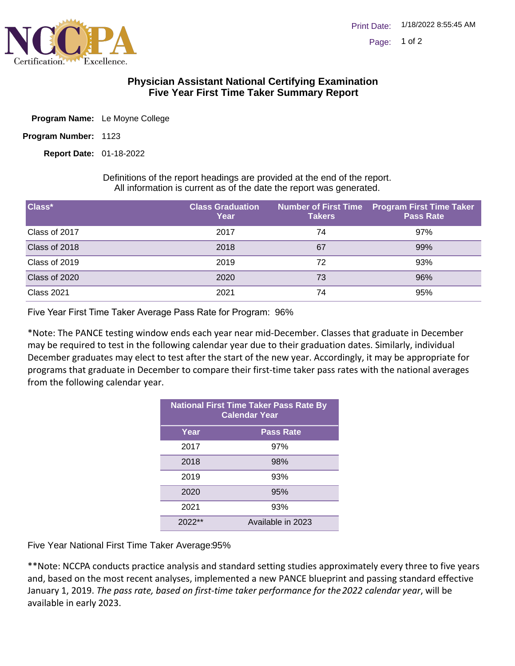

## **Physician Assistant National Certifying Examination Five Year First Time Taker Summary Report**

- Program Name: Le Moyne College
- Program Number: 1123

01-18-2022 **Report Date:**

Definitions of the report headings are provided at the end of the report. All information is current as of the date the report was generated.

| Class*            | <b>Class Graduation</b><br>Year | <b>Takers</b> | Number of First Time Program First Time Taker<br><b>Pass Rate</b> |
|-------------------|---------------------------------|---------------|-------------------------------------------------------------------|
| Class of 2017     | 2017                            | 74            | 97%                                                               |
| Class of 2018     | 2018                            | 67            | 99%                                                               |
| Class of 2019     | 2019                            | 72            | 93%                                                               |
| Class of 2020     | 2020                            | 73            | 96%                                                               |
| <b>Class 2021</b> | 2021                            | 74            | 95%                                                               |

Five Year First Time Taker Average Pass Rate for Program: 96%

\*Note: The PANCE testing window ends each year near mid-December. Classes that graduate in December may be required to test in the following calendar year due to their graduation dates. Similarly, individual December graduates may elect to test after the start of the new year. Accordingly, it may be appropriate for programs that graduate in December to compare their first-time taker pass rates with the national averages from the following calendar year.

| <b>National First Time Taker Pass Rate By</b><br><b>Calendar Year</b> |                   |  |
|-----------------------------------------------------------------------|-------------------|--|
| Year                                                                  | <b>Pass Rate</b>  |  |
| 2017                                                                  | 97%               |  |
| 2018                                                                  | 98%               |  |
| 2019                                                                  | 93%               |  |
| 2020                                                                  | 95%               |  |
| 2021                                                                  | 93%               |  |
| $2022**$                                                              | Available in 2023 |  |

Five Year National First Time Taker Average: 95%

\*\*Note: NCCPA conducts practice analysis and standard setting studies approximately every three to five years and, based on the most recent analyses, implemented a new PANCE blueprint and passing standard effective January 1, 2019. *The pass rate, based on first-time taker performance for the 2022 calendar year*, will be available in early 2023.